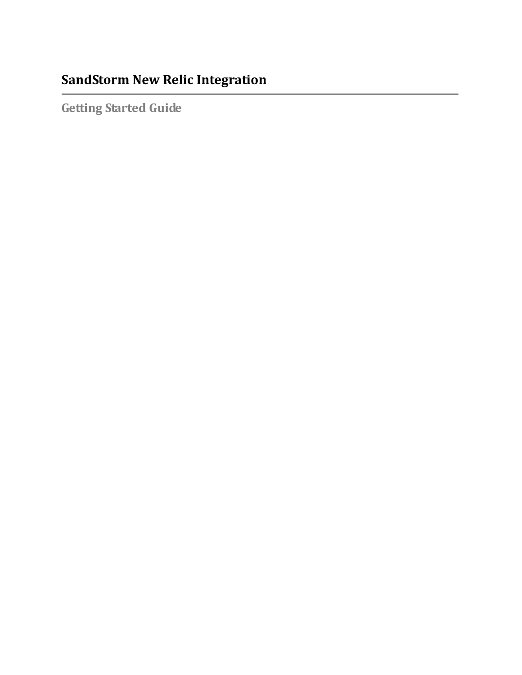<span id="page-0-1"></span><span id="page-0-0"></span>**Getting Started Guide**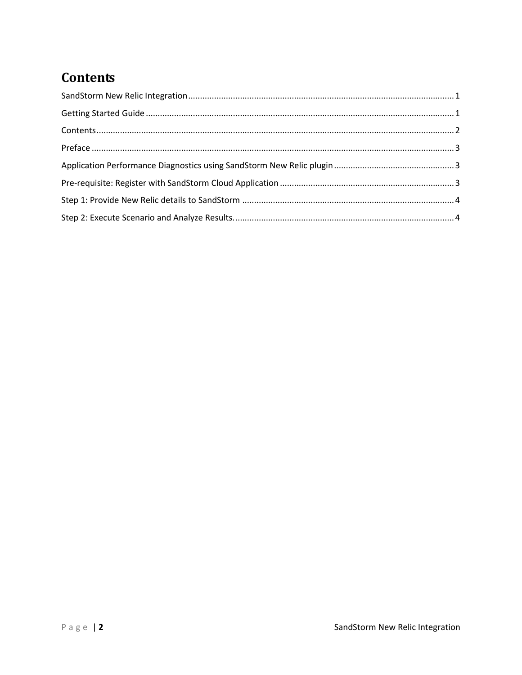# <span id="page-1-0"></span>**Contents**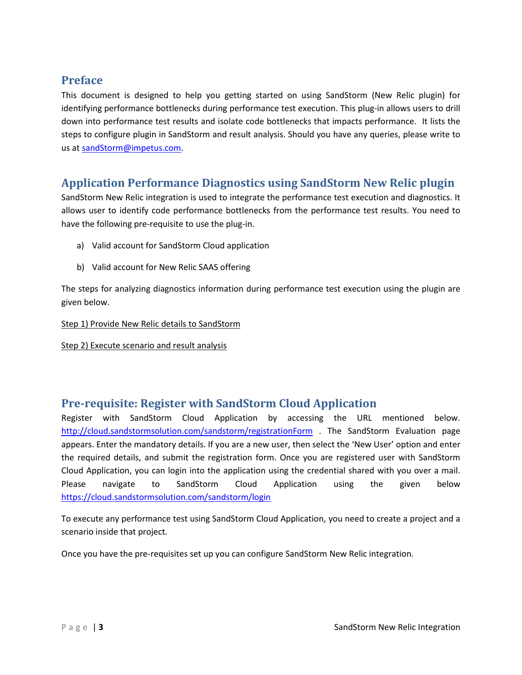## <span id="page-2-0"></span>**Preface**

This document is designed to help you getting started on using SandStorm (New Relic plugin) for identifying performance bottlenecks during performance test execution. This plug-in allows users to drill down into performance test results and isolate code bottlenecks that impacts performance. It lists the steps to configure plugin in SandStorm and result analysis. Should you have any queries, please write to us at [sandStorm@impetus.com.](mailto:sandStorm@impetus.com)

## <span id="page-2-1"></span>**Application Performance Diagnostics using SandStorm New Relic plugin**

SandStorm New Relic integration is used to integrate the performance test execution and diagnostics. It allows user to identify code performance bottlenecks from the performance test results. You need to have the following pre-requisite to use the plug-in.

- a) Valid account for SandStorm Cloud application
- b) Valid account for New Relic SAAS offering

The steps for analyzing diagnostics information during performance test execution using the plugin are given below.

Step 1) Provide New Relic details to SandStorm

Step 2) Execute scenario and result analysis

## <span id="page-2-2"></span>**Pre-requisite: Register with SandStorm Cloud Application**

Register with SandStorm Cloud Application by accessing the URL mentioned below. <http://cloud.sandstormsolution.com/sandstorm/registrationForm> . The SandStorm Evaluation page appears. Enter the mandatory details. If you are a new user, then select the 'New User' option and enter the required details, and submit the registration form. Once you are registered user with SandStorm Cloud Application, you can login into the application using the credential shared with you over a mail. Please navigate to SandStorm Cloud Application using the given below <https://cloud.sandstormsolution.com/sandstorm/login>

To execute any performance test using SandStorm Cloud Application, you need to create a project and a scenario inside that project.

Once you have the pre-requisites set up you can configure SandStorm New Relic integration.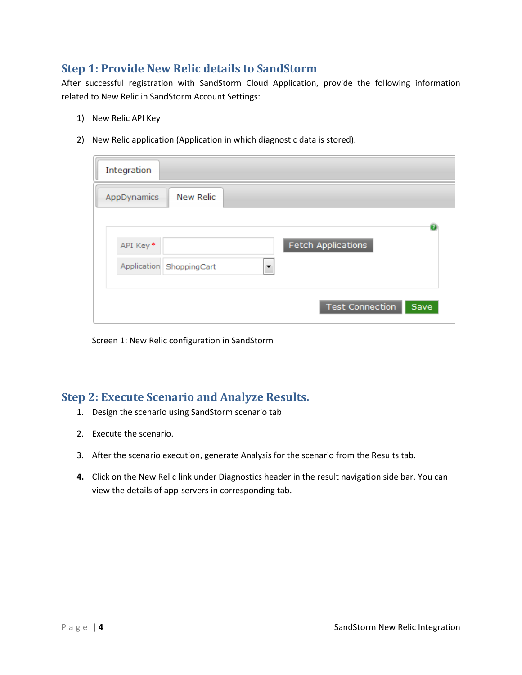## <span id="page-3-0"></span>**Step 1: Provide New Relic details to SandStorm**

After successful registration with SandStorm Cloud Application, provide the following information related to New Relic in SandStorm Account Settings:

- 1) New Relic API Key
- 2) New Relic application (Application in which diagnostic data is stored).

| Integration                               |                                |
|-------------------------------------------|--------------------------------|
| <b>New Relic</b><br>AppDynamics           |                                |
| API Key*<br>Application ShoppingCart<br>۰ | <b>Fetch Applications</b>      |
|                                           | <b>Test Connection</b><br>Save |

Screen 1: New Relic configuration in SandStorm

## <span id="page-3-1"></span>**Step 2: Execute Scenario and Analyze Results.**

- 1. Design the scenario using SandStorm scenario tab
- 2. Execute the scenario.
- 3. After the scenario execution, generate Analysis for the scenario from the Results tab.
- **4.** Click on the New Relic link under Diagnostics header in the result navigation side bar. You can view the details of app-servers in corresponding tab.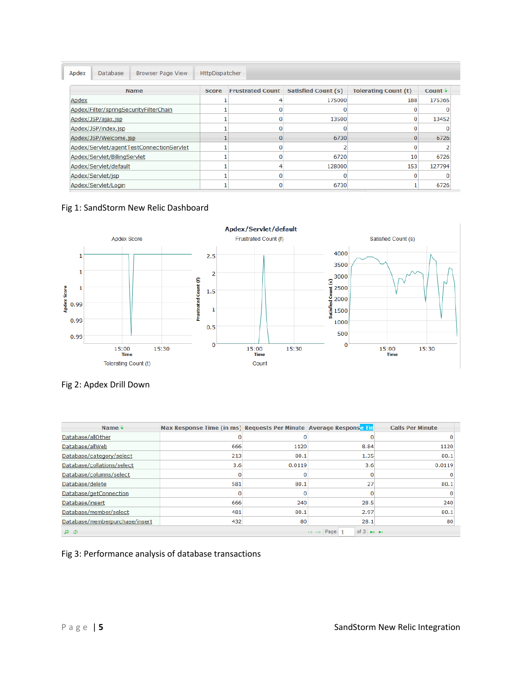| Apdex                                    | Database | <b>Browser Page View</b> | HttpDispatcher          |                     |                             |                 |  |
|------------------------------------------|----------|--------------------------|-------------------------|---------------------|-----------------------------|-----------------|--|
| <b>Name</b>                              |          | <b>Score</b>             | <b>Frustrated Count</b> | Satisfied Count (s) | <b>Tolerating Count (t)</b> | Count $\hat{z}$ |  |
| Apdex                                    |          |                          |                         | 175000              | 188                         | 175365          |  |
| Apdex/Filter/springSecurityFilterChain   |          |                          |                         |                     |                             |                 |  |
| Apdex/JSP/ajax.jsp                       |          |                          |                         | 13500               | 0                           | 13452           |  |
| Apdex/JSP/index.jsp                      |          |                          |                         |                     |                             | n               |  |
| Apdex/JSP/Welcome.jsp                    |          |                          |                         | 6730                | 0                           | 6726            |  |
| Apdex/Servlet/agentTestConnectionServlet |          |                          |                         |                     |                             |                 |  |
| Apdex/Servlet/BillingServlet             |          |                          |                         | 6720                | 10                          | 6726            |  |
| Apdex/Servlet/default                    |          |                          |                         | 128000              | 153                         | 127794          |  |
| Apdex/Servlet/jsp                        |          |                          |                         |                     | n                           |                 |  |
| Apdex/Servlet/Login                      |          |                          |                         | 6730                |                             | 6726            |  |

#### Fig 1: SandStorm New Relic Dashboard



#### Fig 2: Apdex Drill Down

| Name $\hat{z}$                 | Max Response Time (in ms) Requests Per Minute Average Response Tin |        |                                                                         | <b>Calls Per Minute</b> |
|--------------------------------|--------------------------------------------------------------------|--------|-------------------------------------------------------------------------|-------------------------|
| Database/allOther              |                                                                    |        |                                                                         |                         |
| Database/allWeb                | 666                                                                | 1120   | 8.84                                                                    | 1120                    |
| Database/category/select       | 213                                                                | 80.1   | 1.35                                                                    | 80.1                    |
| Database/collations/select     | 3.6                                                                | 0.0119 | 3.6                                                                     | 0.0119                  |
| Database/columns/select        |                                                                    |        | 0                                                                       |                         |
| Database/delete                | 581                                                                | 80.1   | 27                                                                      | 80.1                    |
| Database/getConnection         |                                                                    |        | 0                                                                       |                         |
| Database/insert                | 666                                                                | 240    | 28.5                                                                    | 240                     |
| Database/member/select         | 481                                                                | 80.1   | 2.97                                                                    | 80.1                    |
| Database/memberpurchase/insert | 432                                                                | 80     | 28.1                                                                    | 80                      |
| ு உ                            |                                                                    |        | of $3 \rightarrow \rightarrow \rightarrow$<br>Page 1<br>$1 - 1 - 1 = 1$ |                         |

#### Fig 3: Performance analysis of database transactions